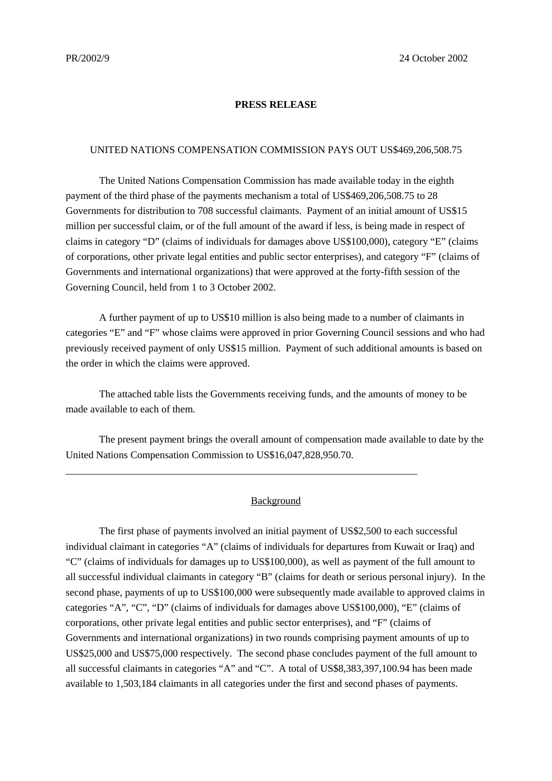#### **PRESS RELEASE**

### UNITED NATIONS COMPENSATION COMMISSION PAYS OUT US\$469,206,508.75

The United Nations Compensation Commission has made available today in the eighth payment of the third phase of the payments mechanism a total of US\$469,206,508.75 to 28 Governments for distribution to 708 successful claimants. Payment of an initial amount of US\$15 million per successful claim, or of the full amount of the award if less, is being made in respect of claims in category "D" (claims of individuals for damages above US\$100,000), category "E" (claims of corporations, other private legal entities and public sector enterprises), and category "F" (claims of Governments and international organizations) that were approved at the forty-fifth session of the Governing Council, held from 1 to 3 October 2002.

A further payment of up to US\$10 million is also being made to a number of claimants in categories "E" and "F" whose claims were approved in prior Governing Council sessions and who had previously received payment of only US\$15 million. Payment of such additional amounts is based on the order in which the claims were approved.

The attached table lists the Governments receiving funds, and the amounts of money to be made available to each of them.

The present payment brings the overall amount of compensation made available to date by the United Nations Compensation Commission to US\$16,047,828,950.70.

\_\_\_\_\_\_\_\_\_\_\_\_\_\_\_\_\_\_\_\_\_\_\_\_\_\_\_\_\_\_\_\_\_\_\_\_\_\_\_\_\_\_\_\_\_\_\_\_\_\_\_\_\_\_\_\_\_\_\_\_\_\_\_\_\_\_\_\_\_

#### **Background**

The first phase of payments involved an initial payment of US\$2,500 to each successful individual claimant in categories "A" (claims of individuals for departures from Kuwait or Iraq) and "C" (claims of individuals for damages up to US\$100,000), as well as payment of the full amount to all successful individual claimants in category "B" (claims for death or serious personal injury). In the second phase, payments of up to US\$100,000 were subsequently made available to approved claims in categories "A", "C", "D" (claims of individuals for damages above US\$100,000), "E" (claims of corporations, other private legal entities and public sector enterprises), and "F" (claims of Governments and international organizations) in two rounds comprising payment amounts of up to US\$25,000 and US\$75,000 respectively. The second phase concludes payment of the full amount to all successful claimants in categories "A" and "C". A total of US\$8,383,397,100.94 has been made available to 1,503,184 claimants in all categories under the first and second phases of payments.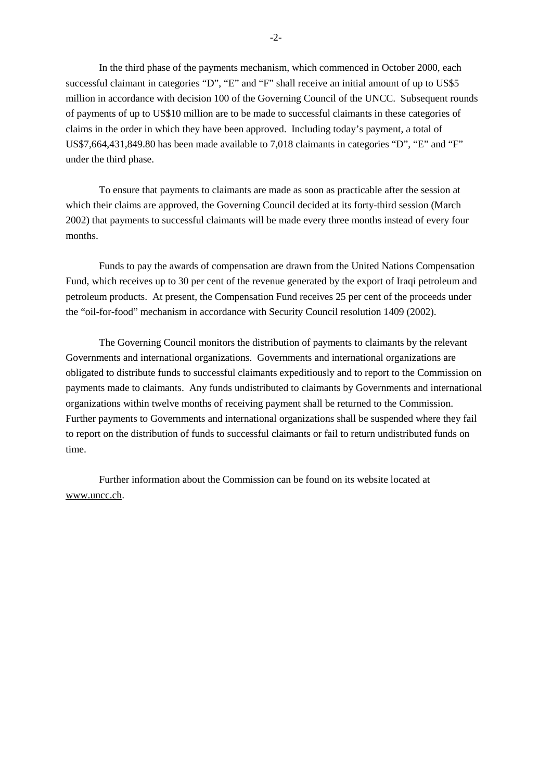In the third phase of the payments mechanism, which commenced in October 2000, each successful claimant in categories "D", "E" and "F" shall receive an initial amount of up to US\$5 million in accordance with decision 100 of the Governing Council of the UNCC. Subsequent rounds of payments of up to US\$10 million are to be made to successful claimants in these categories of claims in the order in which they have been approved. Including today's payment, a total of US\$7,664,431,849.80 has been made available to 7,018 claimants in categories "D", "E" and "F" under the third phase.

To ensure that payments to claimants are made as soon as practicable after the session at which their claims are approved, the Governing Council decided at its forty-third session (March 2002) that payments to successful claimants will be made every three months instead of every four months.

Funds to pay the awards of compensation are drawn from the United Nations Compensation Fund, which receives up to 30 per cent of the revenue generated by the export of Iraqi petroleum and petroleum products. At present, the Compensation Fund receives 25 per cent of the proceeds under the "oil-for-food" mechanism in accordance with Security Council resolution 1409 (2002).

The Governing Council monitors the distribution of payments to claimants by the relevant Governments and international organizations. Governments and international organizations are obligated to distribute funds to successful claimants expeditiously and to report to the Commission on payments made to claimants. Any funds undistributed to claimants by Governments and international organizations within twelve months of receiving payment shall be returned to the Commission. Further payments to Governments and international organizations shall be suspended where they fail to report on the distribution of funds to successful claimants or fail to return undistributed funds on time.

Further information about the Commission can be found on its website located at www.uncc.ch.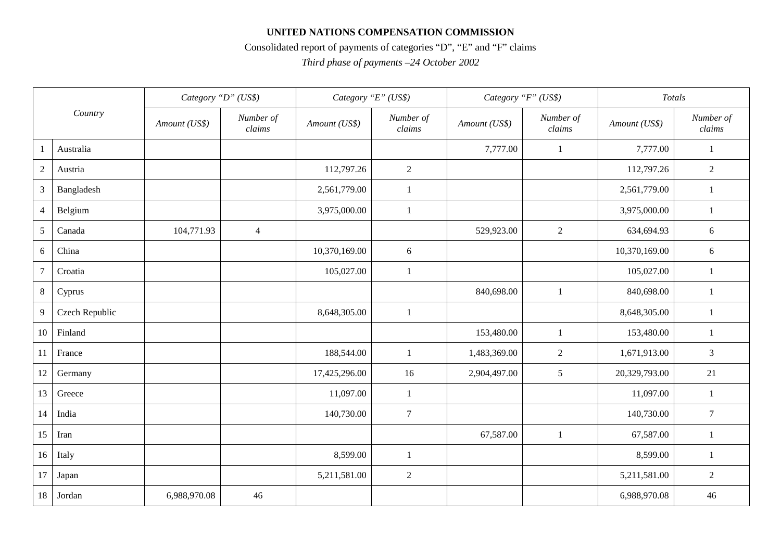## **UNITED NATIONS COMPENSATION COMMISSION**

# Consolidated report of payments of categories "D", "E" and "F" claims

*Third phase of payments –24 October 2002*

| Country         |                | Category "D" (US\$) |                     | Category "E" (US\$) |                     | Category "F" (US\$) |                     | Totals        |                     |
|-----------------|----------------|---------------------|---------------------|---------------------|---------------------|---------------------|---------------------|---------------|---------------------|
|                 |                | Amount (US\$)       | Number of<br>claims | Amount (US\$)       | Number of<br>claims | Amount (US\$)       | Number of<br>claims | Amount (US\$) | Number of<br>claims |
| $\overline{1}$  | Australia      |                     |                     |                     |                     | 7,777.00            | $\mathbf{1}$        | 7,777.00      | $\mathbf{1}$        |
| $\overline{2}$  | Austria        |                     |                     | 112,797.26          | $\overline{2}$      |                     |                     | 112,797.26    | $\sqrt{2}$          |
| 3               | Bangladesh     |                     |                     | 2,561,779.00        | $\mathbf{1}$        |                     |                     | 2,561,779.00  | 1                   |
| $\overline{4}$  | Belgium        |                     |                     | 3,975,000.00        | $\mathbf{1}$        |                     |                     | 3,975,000.00  | $\mathbf{1}$        |
| $\mathfrak{S}$  | Canada         | 104,771.93          | $\overline{4}$      |                     |                     | 529,923.00          | $\overline{2}$      | 634,694.93    | 6                   |
| 6               | China          |                     |                     | 10,370,169.00       | 6                   |                     |                     | 10,370,169.00 | 6                   |
| $\overline{7}$  | Croatia        |                     |                     | 105,027.00          | $\mathbf{1}$        |                     |                     | 105,027.00    | $\mathbf{1}$        |
| $8\phantom{.0}$ | Cyprus         |                     |                     |                     |                     | 840,698.00          | $\mathbf{1}$        | 840,698.00    | 1                   |
| 9               | Czech Republic |                     |                     | 8,648,305.00        | $\mathbf{1}$        |                     |                     | 8,648,305.00  | 1                   |
| 10              | Finland        |                     |                     |                     |                     | 153,480.00          | 1                   | 153,480.00    | $\mathbf{1}$        |
| 11              | France         |                     |                     | 188,544.00          | 1                   | 1,483,369.00        | $\mathbf{2}$        | 1,671,913.00  | $\mathfrak{Z}$      |
| 12              | Germany        |                     |                     | 17,425,296.00       | 16                  | 2,904,497.00        | 5                   | 20,329,793.00 | 21                  |
| 13              | Greece         |                     |                     | 11,097.00           | $\mathbf{1}$        |                     |                     | 11,097.00     | 1                   |
| 14              | India          |                     |                     | 140,730.00          | $\tau$              |                     |                     | 140,730.00    | $\overline{7}$      |
| 15              | Iran           |                     |                     |                     |                     | 67,587.00           | $\mathbf{1}$        | 67,587.00     | 1                   |
| 16              | Italy          |                     |                     | 8,599.00            | $\mathbf{1}$        |                     |                     | 8,599.00      | 1                   |
| 17              | Japan          |                     |                     | 5,211,581.00        | $\overline{2}$      |                     |                     | 5,211,581.00  | $\overline{2}$      |
| 18              | Jordan         | 6,988,970.08        | 46                  |                     |                     |                     |                     | 6,988,970.08  | 46                  |